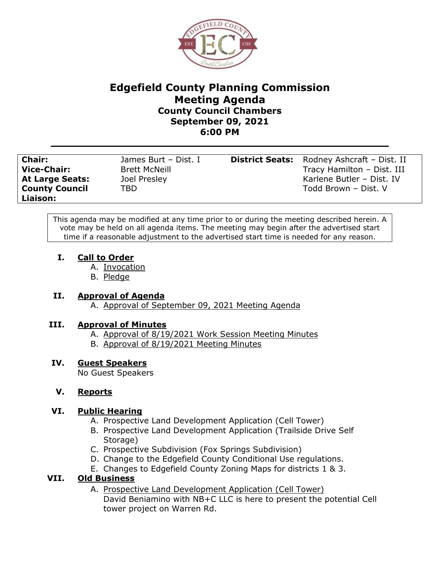

# **Edgefield County Planning Commission Meeting Agenda County Council Chambers September 09, 2021 6:00 PM**

**County Council Liaison:**

**Chair:** James Burt – Dist. I **District Seats:** Rodney Ashcraft – Dist. II **Vice-Chair:** Brett McNeill **Tracy Hamilton – Dist. III** At Large Seats: Joel Presley **At Large Seats:** Joel Presley **Karlene Butler – Dist. IV** TBD Todd Brown – Dist. V

This agenda may be modified at any time prior to or during the meeting described herein. A vote may be held on all agenda items. The meeting may begin after the advertised start time if a reasonable adjustment to the advertised start time is needed for any reason.

## **I. Call to Order**

- A. Invocation
- B. Pledge

## **II. Approval of Agenda**

A. Approval of September 09, 2021 Meeting Agenda

## **III. Approval of Minutes**

- A. Approval of 8/19/2021 Work Session Meeting Minutes
- B. Approval of 8/19/2021 Meeting Minutes

## **IV. Guest Speakers**

No Guest Speakers

## **V. Reports**

## **VI. Public Hearing**

- A. Prospective Land Development Application (Cell Tower)
- B. Prospective Land Development Application (Trailside Drive Self Storage)
- C. Prospective Subdivision (Fox Springs Subdivision)
- D. Change to the Edgefield County Conditional Use regulations.
- E. Changes to Edgefield County Zoning Maps for districts 1 & 3.

## **VII. Old Business**

A. Prospective Land Development Application (Cell Tower) David Beniamino with NB+C LLC is here to present the potential Cell tower project on Warren Rd.